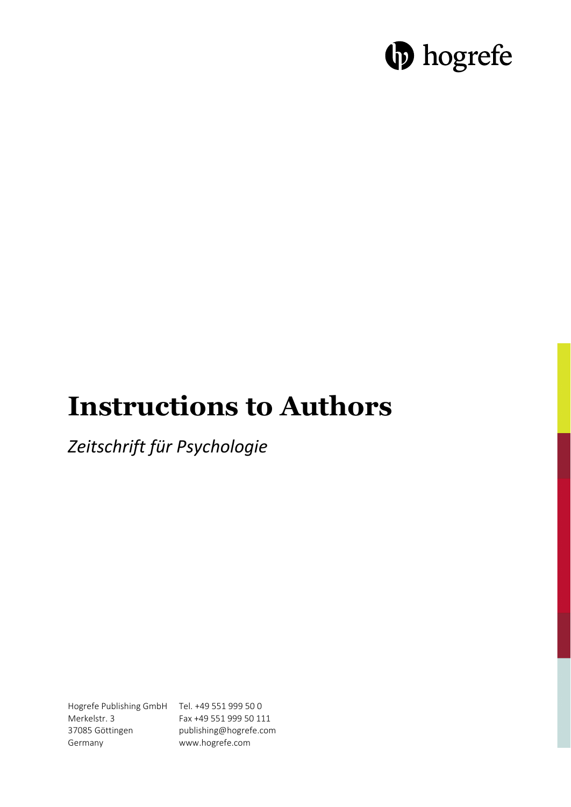# **D** hogrefe

## **Instructions to Authors**

*Zeitschrift für Psychologie*

Hogrefe Publishing GmbH Tel. +49 551 999 50 0 Merkelstr. 3 37085 Göttingen Germany

Fax +49 551 999 50 111 publishing@hogrefe.com www.hogrefe.com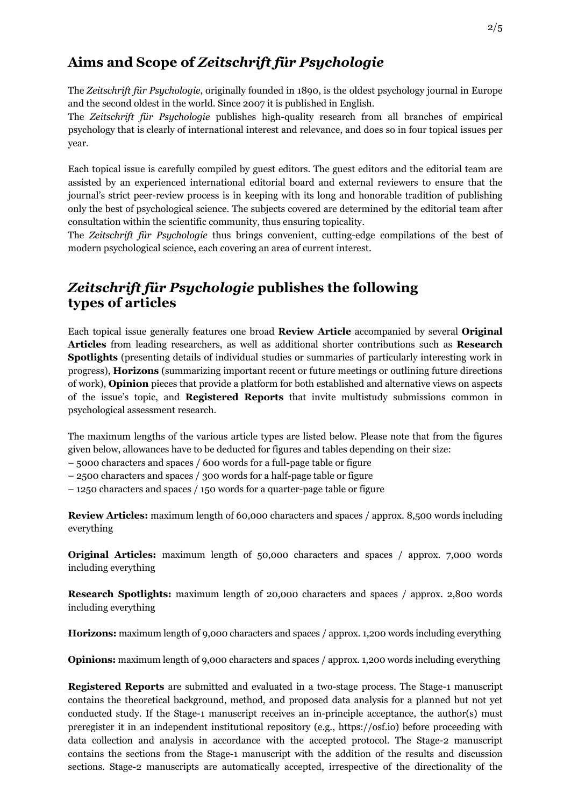## **Aims and Scope of** *Zeitschrift für Psychologie*

The *Zeitschrift für Psychologie*, originally founded in 1890, is the oldest psychology journal in Europe and the second oldest in the world. Since 2007 it is published in English.

The *Zeitschrift für Psychologie* publishes high-quality research from all branches of empirical psychology that is clearly of international interest and relevance, and does so in four topical issues per year.

Each topical issue is carefully compiled by guest editors. The guest editors and the editorial team are assisted by an experienced international editorial board and external reviewers to ensure that the journal's strict peer-review process is in keeping with its long and honorable tradition of publishing only the best of psychological science. The subjects covered are determined by the editorial team after consultation within the scientific community, thus ensuring topicality.

The *Zeitschrift für Psychologie* thus brings convenient, cutting-edge compilations of the best of modern psychological science, each covering an area of current interest.

## *Zeitschrift für Psychologie* **publishes the following types of articles**

Each topical issue generally features one broad **Review Article** accompanied by several **Original Articles** from leading researchers, as well as additional shorter contributions such as **Research Spotlights** (presenting details of individual studies or summaries of particularly interesting work in progress), **Horizons** (summarizing important recent or future meetings or outlining future directions of work), **Opinion** pieces that provide a platform for both established and alternative views on aspects of the issue's topic, and **Registered Reports** that invite multistudy submissions common in psychological assessment research.

The maximum lengths of the various article types are listed below. Please note that from the figures given below, allowances have to be deducted for figures and tables depending on their size:

- 5000 characters and spaces / 600 words for a full-page table or figure
- 2500 characters and spaces / 300 words for a half-page table or figure
- 1250 characters and spaces / 150 words for a quarter-page table or figure

**Review Articles:** maximum length of 60,000 characters and spaces / approx. 8,500 words including everything

**Original Articles:** maximum length of 50,000 characters and spaces / approx. 7,000 words including everything

**Research Spotlights:** maximum length of 20,000 characters and spaces / approx. 2,800 words including everything

**Horizons:** maximum length of 9,000 characters and spaces / approx. 1,200 words including everything

**Opinions:** maximum length of 9,000 characters and spaces / approx. 1,200 words including everything

**Registered Reports** are submitted and evaluated in a two-stage process. The Stage-1 manuscript contains the theoretical background, method, and proposed data analysis for a planned but not yet conducted study. If the Stage-1 manuscript receives an in-principle acceptance, the author(s) must preregister it in an independent institutional repository (e.g., [https://osf.io\)](https://osf.io/) before proceeding with data collection and analysis in accordance with the accepted protocol. The Stage-2 manuscript contains the sections from the Stage-1 manuscript with the addition of the results and discussion sections. Stage-2 manuscripts are automatically accepted, irrespective of the directionality of the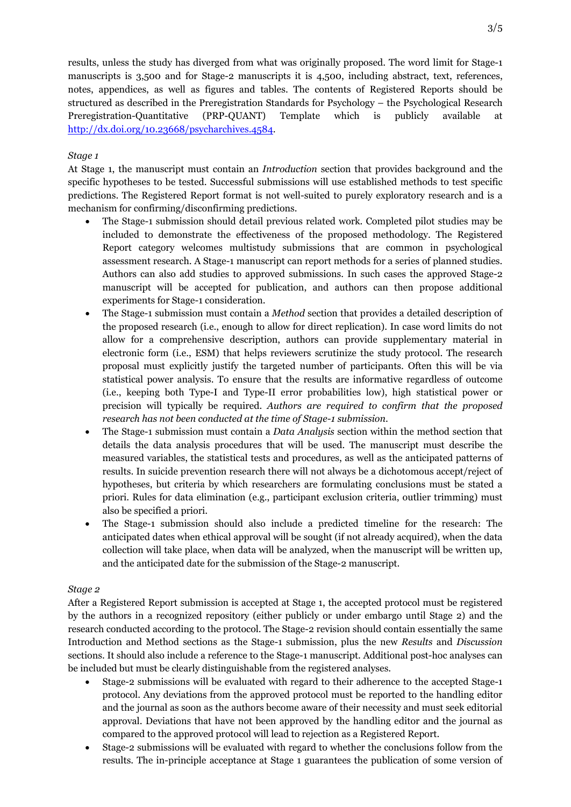results, unless the study has diverged from what was originally proposed. The word limit for Stage-1 manuscripts is 3,500 and for Stage-2 manuscripts it is 4,500, including abstract, text, references, notes, appendices, as well as figures and tables. The contents of Registered Reports should be structured as described in the Preregistration Standards for Psychology – the Psychological Research Preregistration-Quantitative (PRP-QUANT) Template which is publicly available at [http://dx.doi.org/10.23668/psycharchives.4584.](http://dx.doi.org/10.23668/psycharchives.4584)

#### *Stage 1*

At Stage 1, the manuscript must contain an *Introduction* section that provides background and the specific hypotheses to be tested. Successful submissions will use established methods to test specific predictions. The Registered Report format is not well-suited to purely exploratory research and is a mechanism for confirming/disconfirming predictions.

- The Stage-1 submission should detail previous related work. Completed pilot studies may be included to demonstrate the effectiveness of the proposed methodology. The Registered Report category welcomes multistudy submissions that are common in psychological assessment research. A Stage-1 manuscript can report methods for a series of planned studies. Authors can also add studies to approved submissions. In such cases the approved Stage-2 manuscript will be accepted for publication, and authors can then propose additional experiments for Stage-1 consideration.
- The Stage-1 submission must contain a *Method* section that provides a detailed description of the proposed research (i.e., enough to allow for direct replication). In case word limits do not allow for a comprehensive description, authors can provide supplementary material in electronic form (i.e., ESM) that helps reviewers scrutinize the study protocol. The research proposal must explicitly justify the targeted number of participants. Often this will be via statistical power analysis. To ensure that the results are informative regardless of outcome (i.e., keeping both Type-I and Type-II error probabilities low), high statistical power or precision will typically be required. *Authors are required to confirm that the proposed research has not been conducted at the time of Stage-1 submission*.
- The Stage-1 submission must contain a *Data Analysis* section within the method section that details the data analysis procedures that will be used. The manuscript must describe the measured variables, the statistical tests and procedures, as well as the anticipated patterns of results. In suicide prevention research there will not always be a dichotomous accept/reject of hypotheses, but criteria by which researchers are formulating conclusions must be stated a priori. Rules for data elimination (e.g., participant exclusion criteria, outlier trimming) must also be specified a priori.
- The Stage-1 submission should also include a predicted timeline for the research: The anticipated dates when ethical approval will be sought (if not already acquired), when the data collection will take place, when data will be analyzed, when the manuscript will be written up, and the anticipated date for the submission of the Stage-2 manuscript.

#### *Stage 2*

After a Registered Report submission is accepted at Stage 1, the accepted protocol must be registered by the authors in a recognized repository (either publicly or under embargo until Stage 2) and the research conducted according to the protocol. The Stage-2 revision should contain essentially the same Introduction and Method sections as the Stage-1 submission, plus the new *Results* and *Discussion* sections. It should also include a reference to the Stage-1 manuscript. Additional post-hoc analyses can be included but must be clearly distinguishable from the registered analyses.

- Stage-2 submissions will be evaluated with regard to their adherence to the accepted Stage-1 protocol. Any deviations from the approved protocol must be reported to the handling editor and the journal as soon as the authors become aware of their necessity and must seek editorial approval. Deviations that have not been approved by the handling editor and the journal as compared to the approved protocol will lead to rejection as a Registered Report.
- Stage-2 submissions will be evaluated with regard to whether the conclusions follow from the results. The in-principle acceptance at Stage 1 guarantees the publication of some version of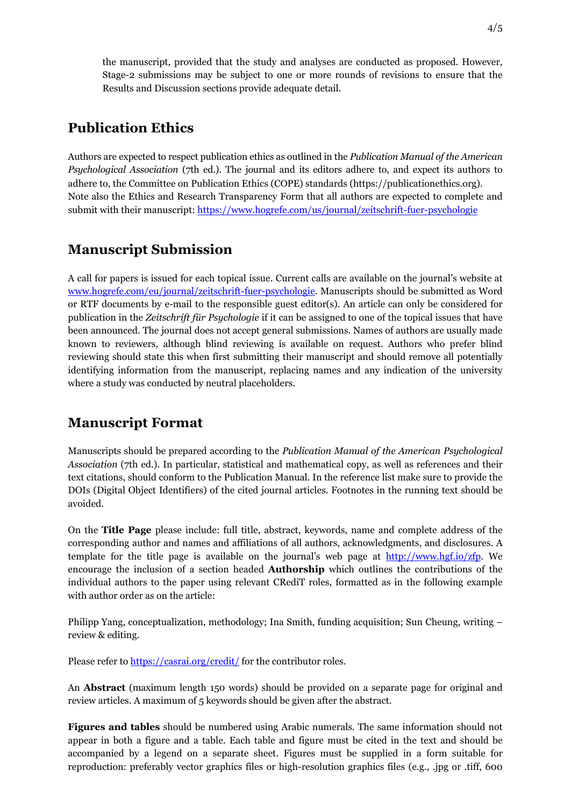the manuscript, provided that the study and analyses are conducted as proposed. However, Stage-2 submissions may be subject to one or more rounds of revisions to ensure that the Results and Discussion sections provide adequate detail.

## **Publication Ethics**

Authors are expected to respect publication ethics as outlined in the *Publication Manual of the American Psychological Association* (7th ed.). The journal and its editors adhere to, and expect its authors to adhere to, the Committee on Publication Ethics (COPE) standards [\(https://publicationethics.org\)](https://publicationethics.org/). Note also the Ethics and Research Transparency Form that all authors are expected to complete and submit with their manuscript:<https://www.hogrefe.com/us/journal/zeitschrift-fuer-psychologie>

## **Manuscript Submission**

A call for papers is issued for each topical issue. Current calls are available on the journal's website at [www.hogrefe.com/eu/journal/zeitschrift-fuer-psychologie.](http://www.hogrefe.com/eu/journal/zeitschrift-fuer-psychologie) Manuscripts should be submitted as Word or RTF documents by e-mail to the responsible guest editor(s). An article can only be considered for publication in the *Zeitschrift für Psychologie* if it can be assigned to one of the topical issues that have been announced. The journal does not accept general submissions. Names of authors are usually made known to reviewers, although blind reviewing is available on request. Authors who prefer blind reviewing should state this when first submitting their manuscript and should remove all potentially identifying information from the manuscript, replacing names and any indication of the university where a study was conducted by neutral placeholders.

## **Manuscript Format**

Manuscripts should be prepared according to the *Publication Manual of the American Psychological Association* (7th ed.). In particular, statistical and mathematical copy, as well as references and their text citations, should conform to the Publication Manual. In the reference list make sure to provide the DOIs (Digital Object Identifiers) of the cited journal articles. Footnotes in the running text should be avoided.

On the **Title Page** please include: full title, abstract, keywords, name and complete address of the corresponding author and names and affiliations of all authors, acknowledgments, and disclosures. A template for the title page is available on the journal's web page at  $\frac{http://www.hgf.io/zfp.}$  $\frac{http://www.hgf.io/zfp.}$  $\frac{http://www.hgf.io/zfp.}$  We encourage the inclusion of a section headed **Authorship** which outlines the contributions of the individual authors to the paper using relevant CRediT roles, formatted as in the following example with author order as on the article:

Philipp Yang, conceptualization, methodology; Ina Smith, funding acquisition; Sun Cheung, writing – review & editing.

Please refer to<https://casrai.org/credit/> for the contributor roles.

An **Abstract** (maximum length 150 words) should be provided on a separate page for original and review articles. A maximum of 5 keywords should be given after the abstract.

**Figures and tables** should be numbered using Arabic numerals. The same information should not appear in both a figure and a table. Each table and figure must be cited in the text and should be accompanied by a legend on a separate sheet. Figures must be supplied in a form suitable for reproduction: preferably vector graphics files or high-resolution graphics files (e.g., .jpg or .tiff, 600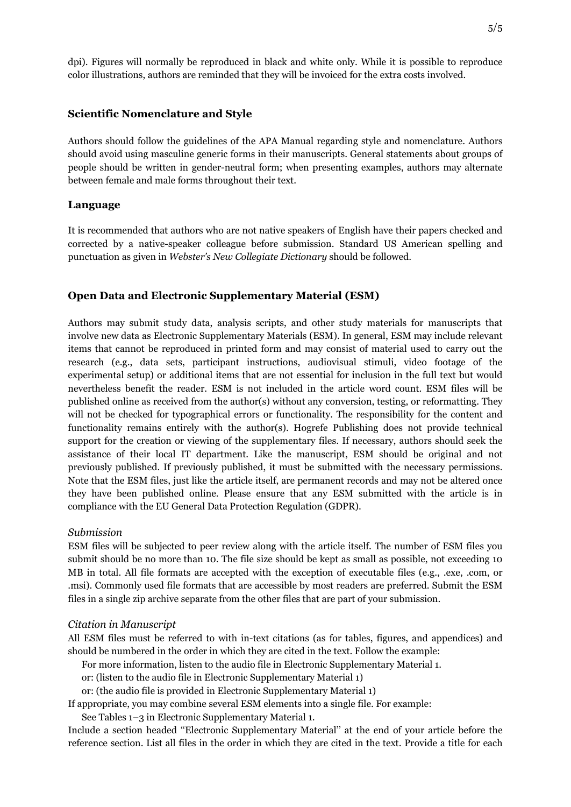dpi). Figures will normally be reproduced in black and white only. While it is possible to reproduce color illustrations, authors are reminded that they will be invoiced for the extra costs involved.

#### **Scientific Nomenclature and Style**

Authors should follow the guidelines of the APA Manual regarding style and nomenclature. Authors should avoid using masculine generic forms in their manuscripts. General statements about groups of people should be written in gender-neutral form; when presenting examples, authors may alternate between female and male forms throughout their text.

#### **Language**

It is recommended that authors who are not native speakers of English have their papers checked and corrected by a native-speaker colleague before submission. Standard US American spelling and punctuation as given in *Webster's New Collegiate Dictionary* should be followed.

#### **Open Data and Electronic Supplementary Material (ESM)**

Authors may submit study data, analysis scripts, and other study materials for manuscripts that involve new data as Electronic Supplementary Materials (ESM). In general, ESM may include relevant items that cannot be reproduced in printed form and may consist of material used to carry out the research (e.g., data sets, participant instructions, audiovisual stimuli, video footage of the experimental setup) or additional items that are not essential for inclusion in the full text but would nevertheless benefit the reader. ESM is not included in the article word count. ESM files will be published online as received from the author(s) without any conversion, testing, or reformatting. They will not be checked for typographical errors or functionality. The responsibility for the content and functionality remains entirely with the author(s). Hogrefe Publishing does not provide technical support for the creation or viewing of the supplementary files. If necessary, authors should seek the assistance of their local IT department. Like the manuscript, ESM should be original and not previously published. If previously published, it must be submitted with the necessary permissions. Note that the ESM files, just like the article itself, are permanent records and may not be altered once they have been published online. Please ensure that any ESM submitted with the article is in compliance with the EU General Data Protection Regulation (GDPR).

#### *Submission*

ESM files will be subjected to peer review along with the article itself. The number of ESM files you submit should be no more than 10. The file size should be kept as small as possible, not exceeding 10 MB in total. All file formats are accepted with the exception of executable files (e.g., .exe, .com, or .msi). Commonly used file formats that are accessible by most readers are preferred. Submit the ESM files in a single zip archive separate from the other files that are part of your submission.

#### *Citation in Manuscript*

All ESM files must be referred to with in-text citations (as for tables, figures, and appendices) and should be numbered in the order in which they are cited in the text. Follow the example:

For more information, listen to the audio file in Electronic Supplementary Material 1.

or: (listen to the audio file in Electronic Supplementary Material 1)

or: (the audio file is provided in Electronic Supplementary Material 1)

If appropriate, you may combine several ESM elements into a single file. For example:

See Tables 1–3 in Electronic Supplementary Material 1.

Include a section headed ''Electronic Supplementary Material'' at the end of your article before the reference section. List all files in the order in which they are cited in the text. Provide a title for each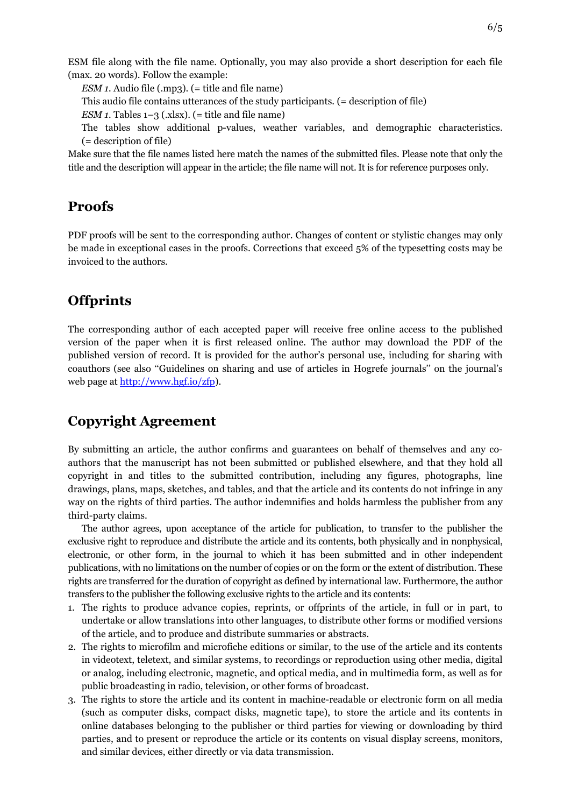ESM file along with the file name. Optionally, you may also provide a short description for each file (max. 20 words). Follow the example:

*ESM 1.* Audio file (.mp3). (= title and file name)

This audio file contains utterances of the study participants. (= description of file)

*ESM* 1. Tables  $1-3$  ( $\overline{x}$ lsx). (= title and file name)

The tables show additional p-values, weather variables, and demographic characteristics. (= description of file)

Make sure that the file names listed here match the names of the submitted files. Please note that only the title and the description will appear in the article; the file name will not. It is for reference purposes only.

### **Proofs**

PDF proofs will be sent to the corresponding author. Changes of content or stylistic changes may only be made in exceptional cases in the proofs. Corrections that exceed 5% of the typesetting costs may be invoiced to the authors.

## **Offprints**

The corresponding author of each accepted paper will receive free online access to the published version of the paper when it is first released online. The author may download the PDF of the published version of record. It is provided for the author's personal use, including for sharing with coauthors (see also ''Guidelines on sharing and use of articles in Hogrefe journals'' on the journal's web page at [http://www.hgf.io/zfp\)](http://www.hgf.io/zfp).

## **Copyright Agreement**

By submitting an article, the author confirms and guarantees on behalf of themselves and any coauthors that the manuscript has not been submitted or published elsewhere, and that they hold all copyright in and titles to the submitted contribution, including any figures, photographs, line drawings, plans, maps, sketches, and tables, and that the article and its contents do not infringe in any way on the rights of third parties. The author indemnifies and holds harmless the publisher from any third-party claims.

The author agrees, upon acceptance of the article for publication, to transfer to the publisher the exclusive right to reproduce and distribute the article and its contents, both physically and in nonphysical, electronic, or other form, in the journal to which it has been submitted and in other independent publications, with no limitations on the number of copies or on the form or the extent of distribution. These rights are transferred for the duration of copyright as defined by international law. Furthermore, the author transfers to the publisher the following exclusive rights to the article and its contents:

- 1. The rights to produce advance copies, reprints, or offprints of the article, in full or in part, to undertake or allow translations into other languages, to distribute other forms or modified versions of the article, and to produce and distribute summaries or abstracts.
- 2. The rights to microfilm and microfiche editions or similar, to the use of the article and its contents in videotext, teletext, and similar systems, to recordings or reproduction using other media, digital or analog, including electronic, magnetic, and optical media, and in multimedia form, as well as for public broadcasting in radio, television, or other forms of broadcast.
- 3. The rights to store the article and its content in machine-readable or electronic form on all media (such as computer disks, compact disks, magnetic tape), to store the article and its contents in online databases belonging to the publisher or third parties for viewing or downloading by third parties, and to present or reproduce the article or its contents on visual display screens, monitors, and similar devices, either directly or via data transmission.